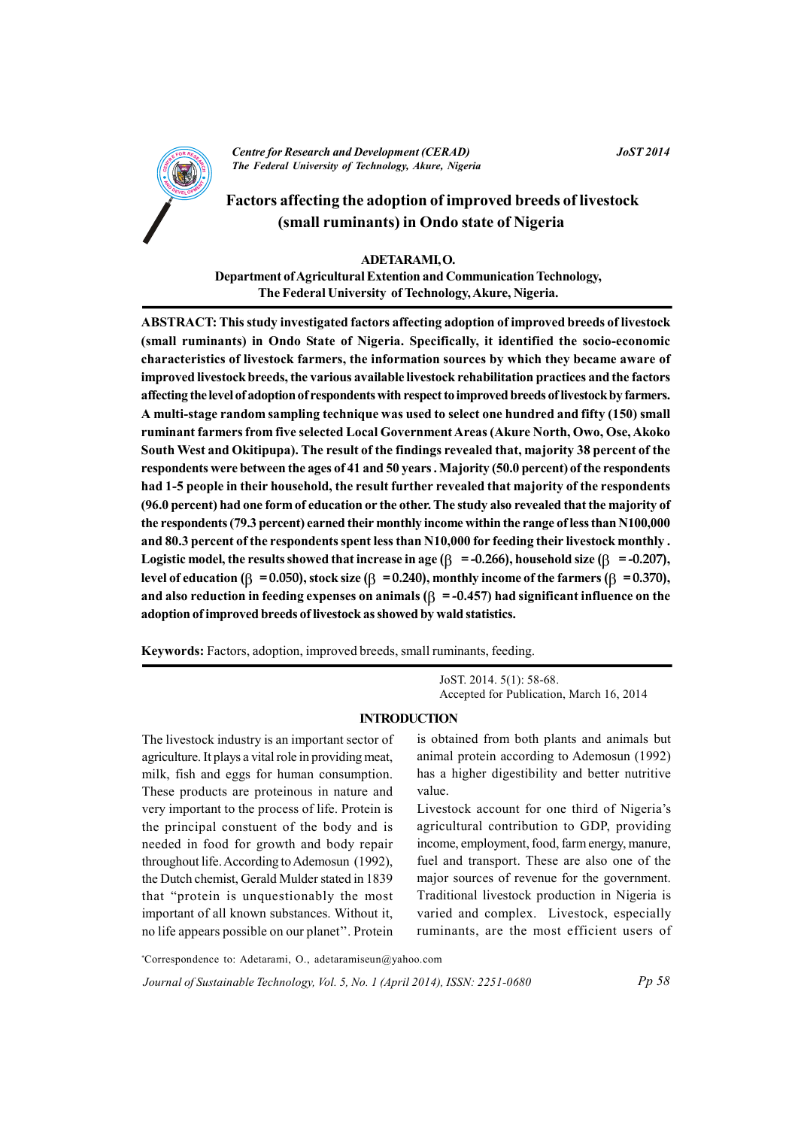

**Centre for Research and Development (CERAD)** The Federal University of Technology, Akure, Nigeria

#### **JoST 2014**

# Factors affecting the adoption of improved breeds of livestock (small ruminants) in Ondo state of Nigeria

## ADETARAMI.O. Department of Agricultural Extention and Communication Technology, The Federal University of Technology, Akure, Nigeria.

ABSTRACT: This study investigated factors affecting adoption of improved breeds of livestock (small ruminants) in Ondo State of Nigeria. Specifically, it identified the socio-economic characteristics of livestock farmers, the information sources by which they became aware of improved livestock breeds, the various available livestock rehabilitation practices and the factors affecting the level of adoption of respondents with respect to improved breeds of livestock by farmers. A multi-stage random sampling technique was used to select one hundred and fifty (150) small ruminant farmers from five selected Local Government Areas (Akure North, Owo, Ose, Akoko South West and Okitipupa). The result of the findings revealed that, majority 38 percent of the respondents were between the ages of 41 and 50 years. Majority (50.0 percent) of the respondents had 1-5 people in their household, the result further revealed that majority of the respondents (96.0 percent) had one form of education or the other. The study also revealed that the majority of the respondents (79.3 percent) earned their monthly income within the range of less than N100,000 and 80.3 percent of the respondents spent less than N10,000 for feeding their livestock monthly. Logistic model, the results showed that increase in age  $(\beta = -0.266)$ , household size  $(\beta = -0.207)$ , level of education ( $\beta$  = 0.050), stock size ( $\beta$  = 0.240), monthly income of the farmers ( $\beta$  = 0.370), and also reduction in feeding expenses on animals ( $\beta$  = -0.457) had significant influence on the adoption of improved breeds of livestock as showed by wald statistics.

Keywords: Factors, adoption, improved breeds, small ruminants, feeding.

JoST. 2014. 5(1): 58-68. Accepted for Publication, March 16, 2014

#### **INTRODUCTION**

The livestock industry is an important sector of agriculture. It plays a vital role in providing meat, milk, fish and eggs for human consumption. These products are proteinous in nature and very important to the process of life. Protein is the principal constuent of the body and is needed in food for growth and body repair throughout life. According to Ademosun (1992), the Dutch chemist, Gerald Mulder stated in 1839 that "protein is unquestionably the most important of all known substances. Without it, no life appears possible on our planet". Protein

is obtained from both plants and animals but animal protein according to Ademosun (1992) has a higher digestibility and better nutritive value.

Livestock account for one third of Nigeria's agricultural contribution to GDP, providing income, employment, food, farm energy, manure, fuel and transport. These are also one of the major sources of revenue for the government. Traditional livestock production in Nigeria is varied and complex. Livestock, especially ruminants, are the most efficient users of

\*Correspondence to: Adetarami, O., adetaramiseun@yahoo.com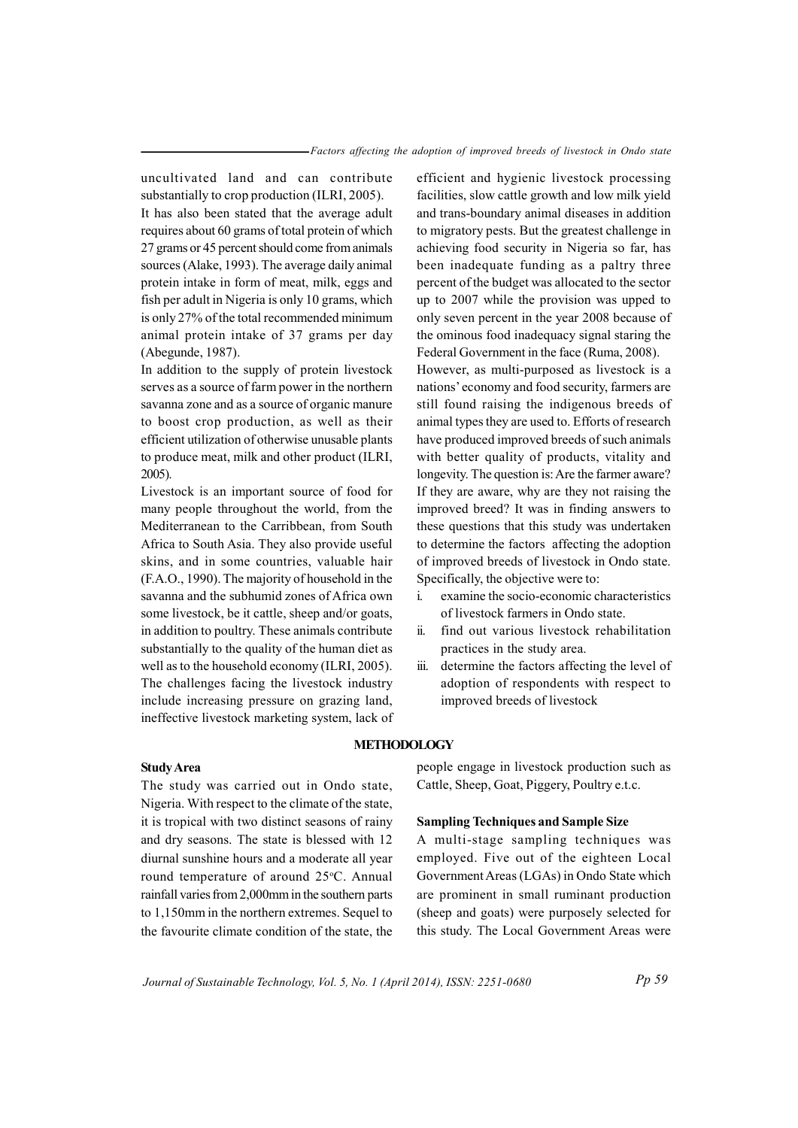uncultivated land and can contribute substantially to crop production (ILRI, 2005).

It has also been stated that the average adult requires about 60 grams of total protein of which 27 grams or 45 percent should come from animals sources (Alake, 1993). The average daily animal protein intake in form of meat, milk, eggs and fish per adult in Nigeria is only 10 grams, which is only 27% of the total recommended minimum animal protein intake of 37 grams per day (Abegunde, 1987).

In addition to the supply of protein livestock serves as a source of farm power in the northern savanna zone and as a source of organic manure to boost crop production, as well as their efficient utilization of otherwise unusable plants to produce meat, milk and other product (ILRI, 2005).

Livestock is an important source of food for many people throughout the world, from the Mediterranean to the Carribbean, from South Africa to South Asia. They also provide useful skins, and in some countries, valuable hair  $(F.A.O., 1990)$ . The majority of household in the savanna and the subhumid zones of Africa own some livestock, be it cattle, sheep and/or goats, in addition to poultry. These animals contribute substantially to the quality of the human diet as well as to the household economy (ILRI, 2005). The challenges facing the livestock industry include increasing pressure on grazing land, ineffective livestock marketing system, lack of

efficient and hygienic livestock processing facilities, slow cattle growth and low milk yield and trans-boundary animal diseases in addition to migratory pests. But the greatest challenge in achieving food security in Nigeria so far, has been inadequate funding as a paltry three percent of the budget was allocated to the sector up to 2007 while the provision was upped to only seven percent in the year 2008 because of the ominous food inadequacy signal staring the Federal Government in the face (Ruma, 2008).

However, as multi-purposed as livestock is a nations' economy and food security, farmers are still found raising the indigenous breeds of animal types they are used to. Efforts of research have produced improved breeds of such animals with better quality of products, vitality and longevity. The question is: Are the farmer aware? If they are aware, why are they not raising the improved breed? It was in finding answers to these questions that this study was undertaken to determine the factors affecting the adoption of improved breeds of livestock in Ondo state. Specifically, the objective were to:

- i. examine the socio-economic characteristics of livestock farmers in Ondo state
- ii. find out various livestock rehabilitation practices in the study area.
- iii. determine the factors affecting the level of adoption of respondents with respect to improved breeds of livestock

#### **METHODOLOGY**

#### $Study Area$

The study was carried out in Ondo state, Nigeria. With respect to the climate of the state, it is tropical with two distinct seasons of rainy and dry seasons. The state is blessed with 12 diurnal sunshine hours and a moderate all year round temperature of around 25°C. Annual rainfall varies from 2,000 mm in the southern parts to  $1,150$  mm in the northern extremes. Sequel to the favourite climate condition of the state, the people engage in livestock production such as Cattle, Sheep, Goat, Piggery, Poultry e.t.c.

#### **Sampling Techniques and Sample Size**

A multi-stage sampling techniques was employed. Five out of the eighteen Local Government Areas (LGAs) in Ondo State which are prominent in small ruminant production (sheep and goats) were purposely selected for this study. The Local Government Areas were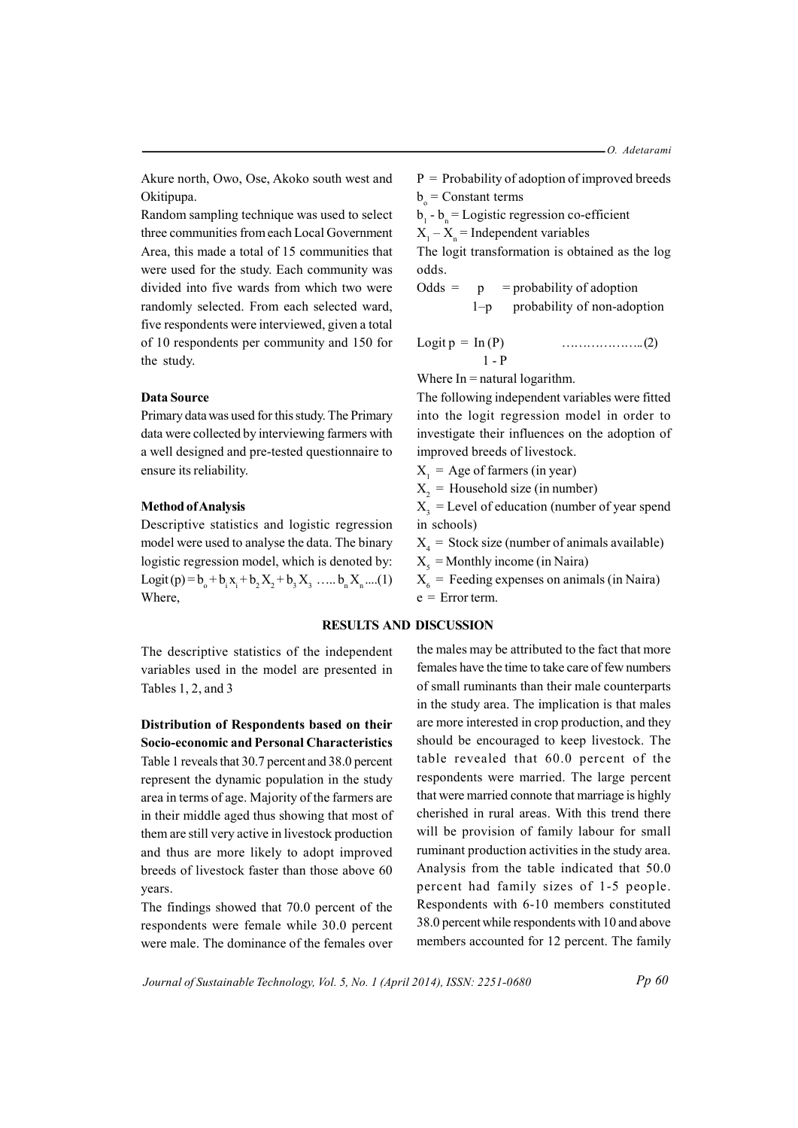Akure north, Owo, Ose, Akoko south west and Okitipupa.

Random sampling technique was used to select three communities from each Local Government Area, this made a total of 15 communities that were used for the study. Each community was divided into five wards from which two were randomly selected. From each selected ward, five respondents were interviewed, given a total of 10 respondents per community and 150 for the study.

#### **Data Source**

Primary data was used for this study. The Primary data were collected by interviewing farmers with a well designed and pre-tested questionnaire to ensure its reliability.

#### **Method of Analysis**

Descriptive statistics and logistic regression model were used to analyse the data. The binary logistic regression model, which is denoted by: Logit (p) =  $b_0 + b_1x_1 + b_2X_2 + b_3X_3$  .....  $b_nX_n$  ....(1) Where.

The descriptive statistics of the independent variables used in the model are presented in Tables 1, 2, and 3

## Distribution of Respondents based on their **Socio-economic and Personal Characteristics** Table 1 reveals that 30.7 percent and 38.0 percent represent the dynamic population in the study area in terms of age. Majority of the farmers are in their middle aged thus showing that most of them are still very active in livestock production and thus are more likely to adopt improved breeds of livestock faster than those above 60 vears.

The findings showed that 70.0 percent of the respondents were female while 30.0 percent were male. The dominance of the females over  $P =$  Probability of adoption of improved breeds  $b =$ Constant terms

 $b_1 - b_n =$ Logistic regression co-efficient

 $X_1 - X_n$  = Independent variables

The logit transformation is obtained as the log odds.

 $Odds =$  $=$  probability of adoption  $\mathbf{D}$  $1-p$ probability of non-adoption

$$
Logit p = In (P)
$$
  
1 - P (2)

Where  $In =$  natural logarithm.

The following independent variables were fitted into the logit regression model in order to investigate their influences on the adoption of improved breeds of livestock.

 $X_1$  = Age of farmers (in year)

 $X_2$  = Household size (in number)

 $X<sub>3</sub>$  = Level of education (number of year spend in schools)

 $X_4$  = Stock size (number of animals available)

 $X_s$  = Monthly income (in Naira)

 $X_{\epsilon}$  = Feeding expenses on animals (in Naira)  $e =$  Error term.

### **RESULTS AND DISCUSSION**

the males may be attributed to the fact that more females have the time to take care of few numbers of small ruminants than their male counterparts in the study area. The implication is that males are more interested in crop production, and they should be encouraged to keep livestock. The table revealed that 60.0 percent of the respondents were married. The large percent that were married connote that marriage is highly cherished in rural areas. With this trend there will be provision of family labour for small ruminant production activities in the study area. Analysis from the table indicated that 50.0 percent had family sizes of 1-5 people. Respondents with 6-10 members constituted 38.0 percent while respondents with 10 and above members accounted for 12 percent. The family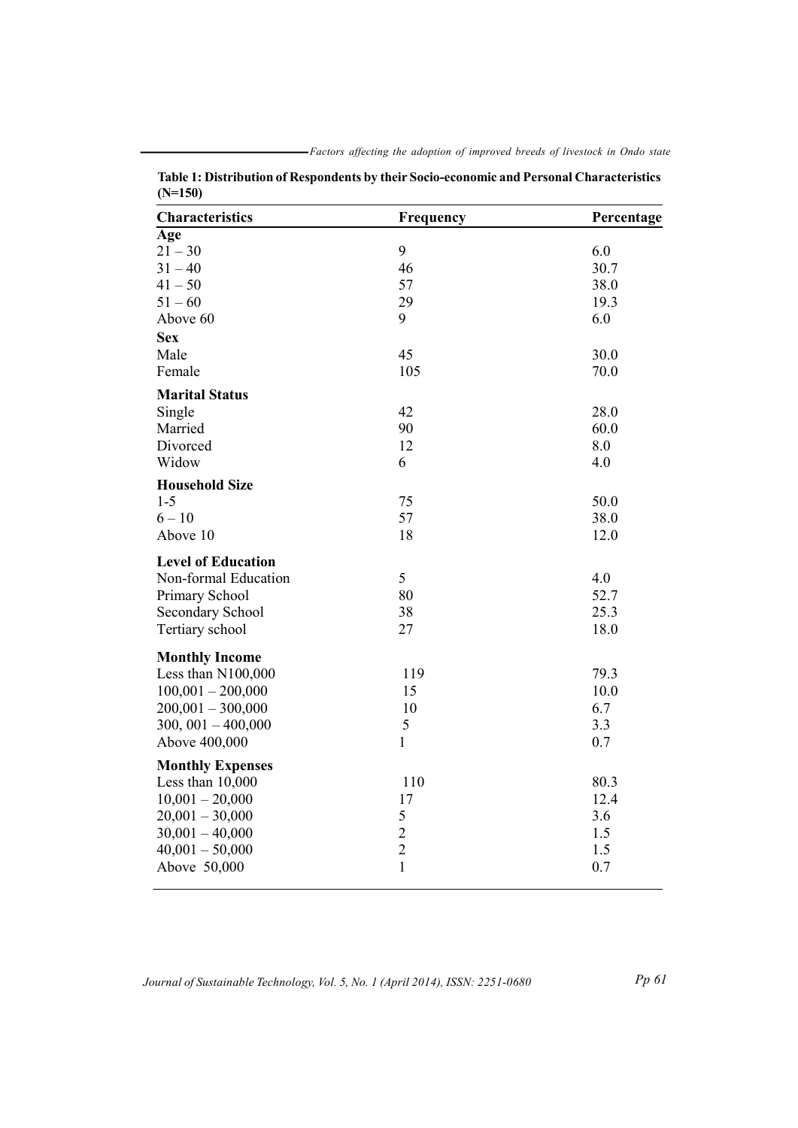| <b>Characteristics</b>                      | Frequency     | Percentage |
|---------------------------------------------|---------------|------------|
| $\overline{\mathbf{A}}$ ge                  |               |            |
| $21 - 30$                                   | 9             | 6.0        |
| $31 - 40$                                   | 46            | 30.7       |
| $41 - 50$                                   | 57            | 38.0       |
| $51 - 60$                                   | 29            | 19.3       |
| Above 60                                    | 9             | 6.0        |
| <b>Sex</b>                                  |               |            |
| Male                                        | 45            | 30.0       |
| Female                                      | 105           | 70.0       |
| <b>Marital Status</b>                       |               |            |
| Single                                      | 42            | 28.0       |
| Married                                     | 90            | 60.0       |
| Divorced                                    | 12            | 8.0        |
| Widow                                       | 6             | 4.0        |
| <b>Household Size</b>                       |               |            |
| $1-5$                                       | 75            | 50.0       |
| $6 - 10$                                    | 57            | 38.0       |
| Above 10                                    | 18            | 12.0       |
| <b>Level of Education</b>                   |               |            |
| Non-formal Education                        | 5             | 4.0        |
| Primary School                              | 80            | 52.7       |
| <b>Secondary School</b>                     | 38            | 25.3       |
| Tertiary school                             | 27            | 18.0       |
| <b>Monthly Income</b>                       |               |            |
| Less than N100,000                          | 119           | 79.3       |
| $100,001 - 200,000$                         | 15            | 10.0       |
| $200,001 - 300,000$                         | 10            | 6.7        |
| $300, 001 - 400,000$                        | 5             | 3.3        |
| Above 400,000                               | $\mathbf{1}$  | 0.7        |
|                                             |               |            |
| <b>Monthly Expenses</b><br>Less than 10,000 | 110           | 80.3       |
|                                             | 17            | 12.4       |
| $10,001 - 20,000$                           |               |            |
| $20,001 - 30,000$                           | 5             | 3.6<br>1.5 |
| $30,001 - 40,000$                           | $\frac{2}{2}$ |            |
| $40,001 - 50,000$                           | $\mathbf{1}$  | 1.5        |
| Above 50,000                                |               | 0.7        |

Table 1: Distribution of Respondents by their Socio-economic and Personal Characteristics  $(N=150)$ 

Journal of Sustainable Technology, Vol. 5, No. 1 (April 2014), ISSN: 2251-0680

 $Pp 61$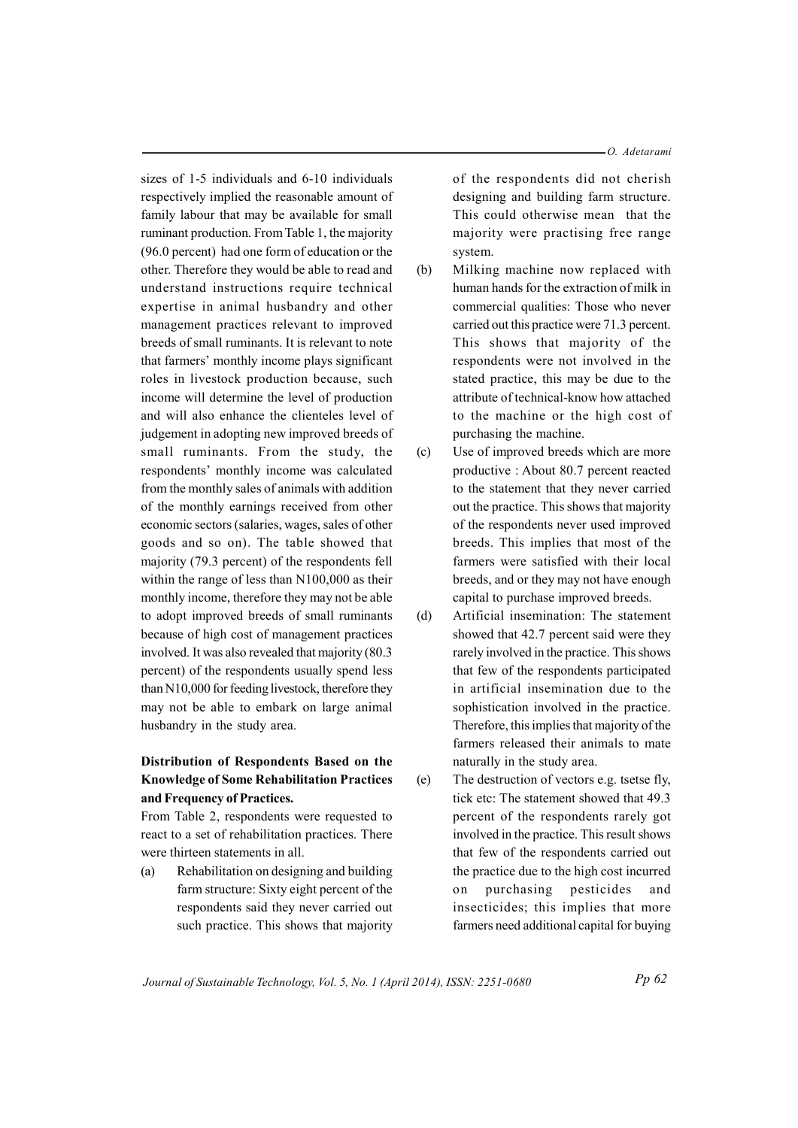-O. Adetarami

sizes of 1-5 individuals and 6-10 individuals respectively implied the reasonable amount of family labour that may be available for small ruminant production. From Table 1, the majority (96.0 percent) had one form of education or the other. Therefore they would be able to read and understand instructions require technical expertise in animal husbandry and other management practices relevant to improved breeds of small ruminants. It is relevant to note that farmers' monthly income plays significant roles in livestock production because, such income will determine the level of production and will also enhance the clienteles level of judgement in adopting new improved breeds of small ruminants. From the study, the respondents' monthly income was calculated from the monthly sales of animals with addition of the monthly earnings received from other economic sectors (salaries, wages, sales of other goods and so on). The table showed that majority (79.3 percent) of the respondents fell within the range of less than N100,000 as their monthly income, therefore they may not be able to adopt improved breeds of small ruminants because of high cost of management practices involved. It was also revealed that majority (80.3) percent) of the respondents usually spend less than N10,000 for feeding livestock, therefore they may not be able to embark on large animal husbandry in the study area.

## Distribution of Respondents Based on the **Knowledge of Some Rehabilitation Practices** and Frequency of Practices.

From Table 2, respondents were requested to react to a set of rehabilitation practices. There were thirteen statements in all.

Rehabilitation on designing and building  $(a)$ farm structure: Sixty eight percent of the respondents said they never carried out such practice. This shows that majority of the respondents did not cherish designing and building farm structure. This could otherwise mean that the majority were practising free range system.

- $(b)$ Milking machine now replaced with human hands for the extraction of milk in commercial qualities: Those who never carried out this practice were 71.3 percent. This shows that majority of the respondents were not involved in the stated practice, this may be due to the attribute of technical-know how attached to the machine or the high cost of purchasing the machine.
- $(c)$ Use of improved breeds which are more productive : About 80.7 percent reacted to the statement that they never carried out the practice. This shows that majority of the respondents never used improved breeds. This implies that most of the farmers were satisfied with their local breeds, and or they may not have enough capital to purchase improved breeds.
- $(d)$ Artificial insemination: The statement showed that 42.7 percent said were they rarely involved in the practice. This shows that few of the respondents participated in artificial insemination due to the sophistication involved in the practice. Therefore, this implies that majority of the farmers released their animals to mate naturally in the study area.
- The destruction of vectors e.g. tsetse fly,  $(e)$ tick etc: The statement showed that 49.3 percent of the respondents rarely got involved in the practice. This result shows that few of the respondents carried out the practice due to the high cost incurred purchasing pesticides  $\Omega$ and insecticides; this implies that more farmers need additional capital for buying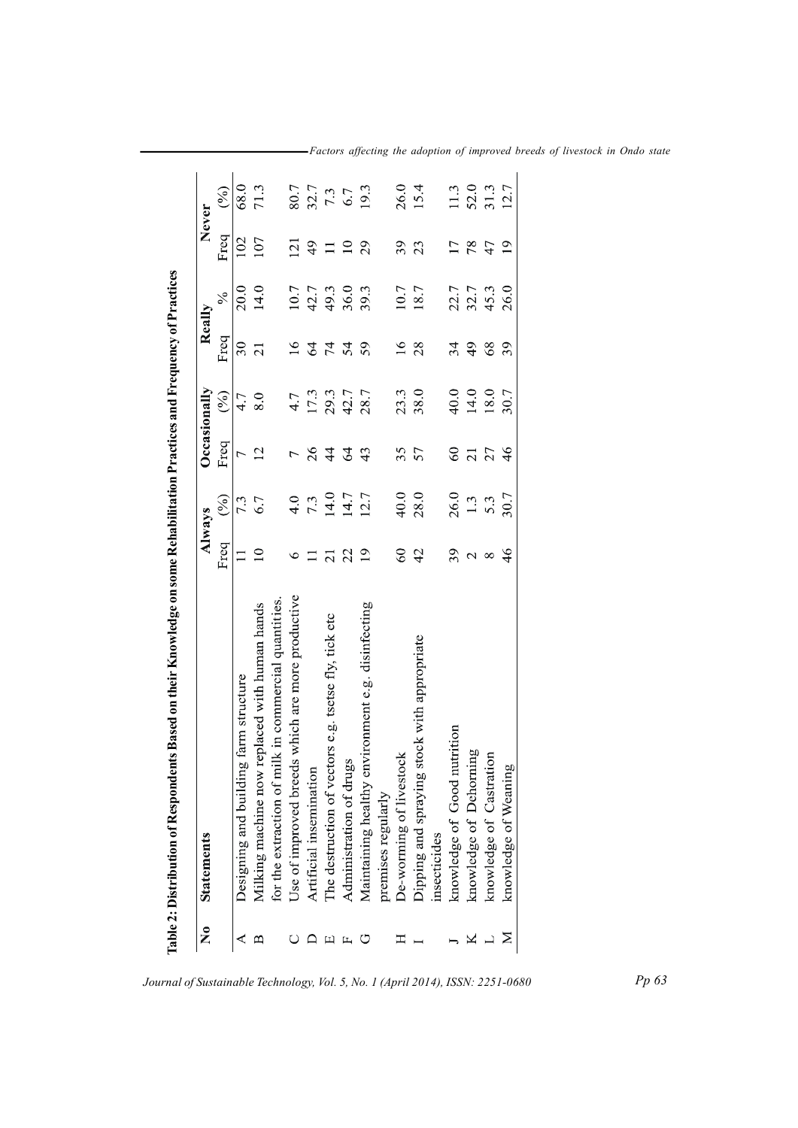| $\tilde{\mathsf{z}}$ | <b>Statements</b>                                    |                 | Always                                                    |                 | Occasionally        |                 | Really        |                | Never             |
|----------------------|------------------------------------------------------|-----------------|-----------------------------------------------------------|-----------------|---------------------|-----------------|---------------|----------------|-------------------|
|                      |                                                      | Freq            | (%)                                                       | Freq            | $($ % $)$           | Freq            | $\frac{5}{6}$ | Freq           | $(\%)$            |
|                      | Designing and building farm structure                |                 | 7.3                                                       | $\overline{ }$  | 4.7                 | 30              | 20.0          | 102            | 68.0              |
|                      | Milking machine now replaced with human hands        | $\mathbf{C}$    | 6.7                                                       | $\overline{c}$  | 8.0                 | $\overline{21}$ | 14.0          | 107            | 71.3              |
|                      | for the extraction of milk in commercial quantities. |                 |                                                           |                 |                     |                 |               |                |                   |
|                      | Use of improved breeds which are more productive     | $\circ$         |                                                           |                 | 4.7                 | $\overline{16}$ | 10.7          | $\overline{2}$ | 80.7              |
|                      | Artificial insemination                              |                 | $\begin{array}{c} 4.0 \\ 7.3 \\ 14.0 \\ 14.7 \end{array}$ | 26              |                     | 64              | 42.7          | $^{49}$        |                   |
|                      | The destruction of vectors e.g. tsetse fly, tick etc | $\overline{c}$  |                                                           | $\frac{4}{4}$   |                     |                 | 49.3          | $\equiv$       | $\frac{7.7}{7.3}$ |
|                      | Administration of drugs                              | 22              |                                                           | $\mathcal{L}$   | $\frac{17.3}{29.3}$ | 74              | 36.0          | $\Xi$          |                   |
|                      | Maintaining healthy environment e.g. disinfecting    | $\overline{19}$ | 12.7                                                      | 43              | 28.7                | 59              | 39.3          | 29             | 19.3              |
|                      | premises regularly                                   |                 |                                                           |                 |                     |                 |               |                |                   |
|                      | De-worming of livestock                              | $60\,$          | 40.0                                                      | 35              | 23.3                | $\frac{6}{1}$   | 10.7          | 39             | 26.0              |
|                      | Dipping and spraying stock with appropriate          | 42              | 28.0                                                      | 57              | 38.0                | 28              | 18.7          | 23             | 15.4              |
|                      | insecticides                                         |                 |                                                           |                 |                     |                 |               |                |                   |
|                      | knowledge of Good nutrition                          | 39              | 26.0                                                      | $60\,$          | 40.0                | 34              | 22.7          |                | 11.3              |
|                      | knowledge of Dehorning                               | $\mathcal{L}$   | 1.3                                                       | $\overline{21}$ | 14.0                | 49              | 32.7          | 78             | 52.0              |
|                      | knowledge of Castration                              | $\infty$        | 5.3                                                       | 27              | 18.0                | 68              | 45.3          | 47             | 31.3              |
|                      | knowledge of Weaning                                 | $\frac{4}{6}$   | 30.7                                                      | 46              | 30.7                | 39              | 26.0          | $\overline{0}$ | 12.7              |

-Factors affecting the adoption of improved breeds of livestock in Ondo state

 $Pp63$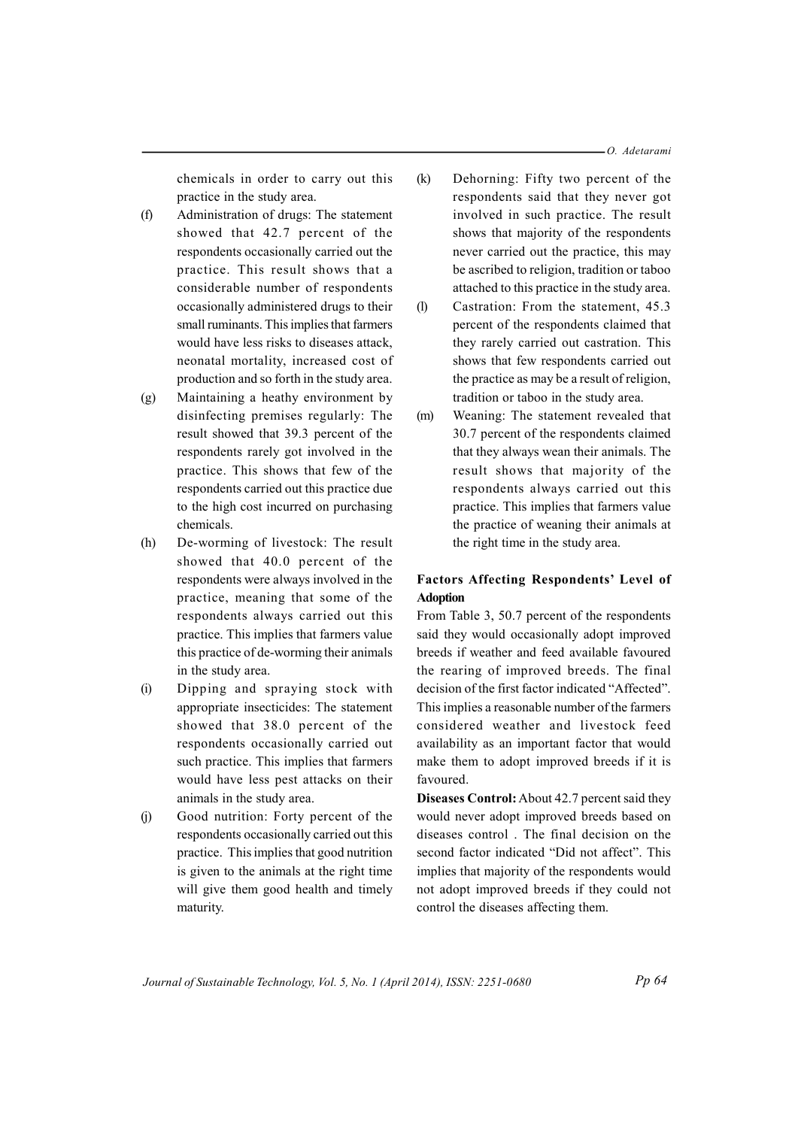-O. Adetarami

chemicals in order to carry out this practice in the study area.

- $(f)$ Administration of drugs: The statement showed that 42.7 percent of the respondents occasionally carried out the practice. This result shows that a considerable number of respondents occasionally administered drugs to their small ruminants. This implies that farmers would have less risks to diseases attack, neonatal mortality, increased cost of production and so forth in the study area.
- Maintaining a heathy environment by  $(g)$ disinfecting premises regularly: The result showed that 39.3 percent of the respondents rarely got involved in the practice. This shows that few of the respondents carried out this practice due to the high cost incurred on purchasing chemicals.
- $(h)$ De-worming of livestock: The result showed that 40.0 percent of the respondents were always involved in the practice, meaning that some of the respondents always carried out this practice. This implies that farmers value this practice of de-worming their animals in the study area.
- $(i)$ Dipping and spraying stock with appropriate insecticides: The statement showed that 38.0 percent of the respondents occasionally carried out such practice. This implies that farmers would have less pest attacks on their animals in the study area.
- $(i)$ Good nutrition: Forty percent of the respondents occasionally carried out this practice. This implies that good nutrition is given to the animals at the right time will give them good health and timely maturity.
- $(k)$ Dehorning: Fifty two percent of the respondents said that they never got involved in such practice. The result shows that majority of the respondents never carried out the practice, this may be ascribed to religion, tradition or taboo attached to this practice in the study area.
- $(1)$ Castration: From the statement, 45.3 percent of the respondents claimed that they rarely carried out castration. This shows that few respondents carried out the practice as may be a result of religion. tradition or taboo in the study area.
- $(m)$ Weaning: The statement revealed that 30.7 percent of the respondents claimed that they always wean their animals. The result shows that majority of the respondents always carried out this practice. This implies that farmers value the practice of weaning their animals at the right time in the study area.

## **Factors Affecting Respondents' Level of Adoption**

From Table 3, 50.7 percent of the respondents said they would occasionally adopt improved breeds if weather and feed available favoured the rearing of improved breeds. The final decision of the first factor indicated "Affected". This implies a reasonable number of the farmers considered weather and livestock feed availability as an important factor that would make them to adopt improved breeds if it is favoured.

Diseases Control: About 42.7 percent said they would never adopt improved breeds based on diseases control. The final decision on the second factor indicated "Did not affect". This implies that majority of the respondents would not adopt improved breeds if they could not control the diseases affecting them.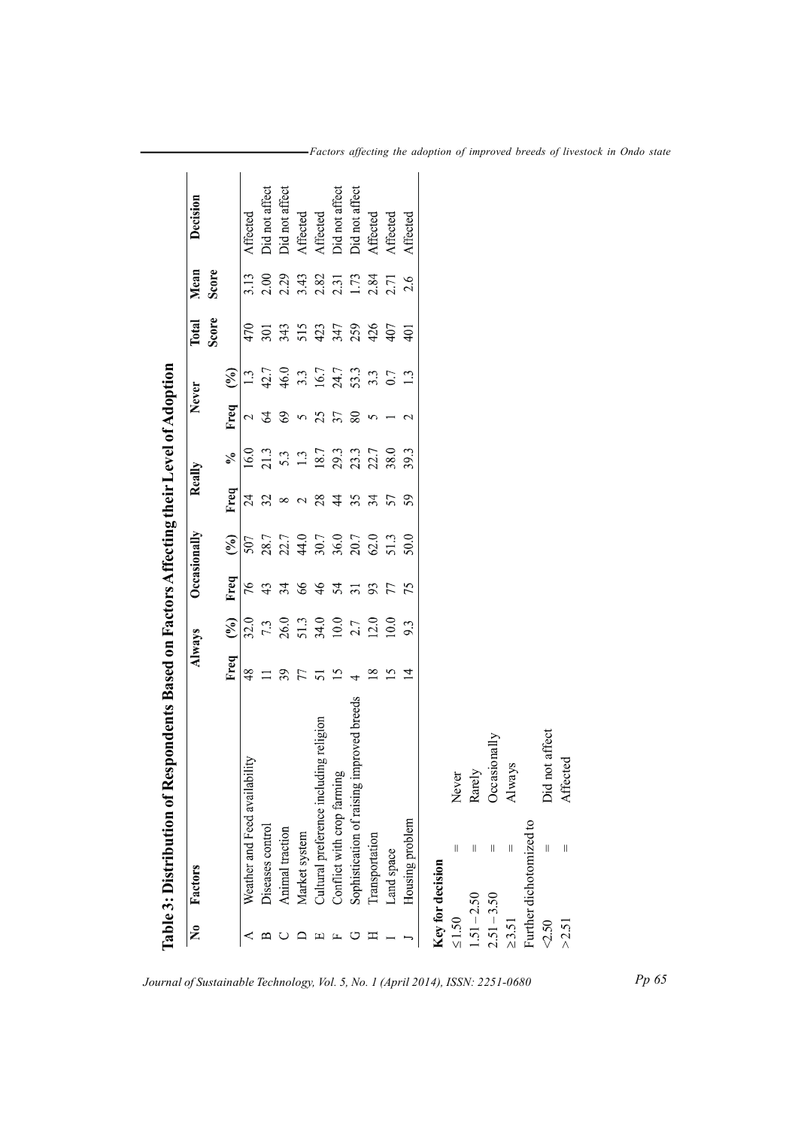|                           |                               | Table 3: Distribution of Respondents Based on Factors Affecting their Level of Adoption |                |                |                 |                |               |            |                 |                      |                 |       |                |
|---------------------------|-------------------------------|-----------------------------------------------------------------------------------------|----------------|----------------|-----------------|----------------|---------------|------------|-----------------|----------------------|-----------------|-------|----------------|
| $\overline{\mathsf{X}}_0$ | Factors                       |                                                                                         | Always         |                | Occasionally    |                | Really        |            | Never           |                      | Total           | Mean  | Decision       |
|                           |                               |                                                                                         |                |                |                 |                |               |            |                 |                      | Score           | Score |                |
|                           |                               |                                                                                         | Freq           | $\binom{0}{0}$ | Freq            | $\binom{0}{0}$ | Freq          | $\epsilon$ | Freq            | $\mathcal{S}$        |                 |       |                |
|                           | Weather and Feed availability |                                                                                         | $\frac{8}{3}$  | 32.0           | 76              | 507            | 24            | 16.0       | $\mathcal{L}$   | $\tilde{\omega}$     | 470             | 3.13  | Affected       |
|                           | Diseases control              |                                                                                         | $\Box$         | 7.3            | 43              | 28.7           | 32            | 21.3       | $\mathcal{L}$   | $42.7$               | 301             | 2.00  | Did not affect |
|                           | Animal traction               |                                                                                         | 39             | 26.0           | 34              | 22.7           | $\infty$      | 5.3        | 69              | 46.0                 | 343             | 2.29  | Did not affect |
|                           | Market system                 |                                                                                         | 77             | 51.3           | 66              |                | $\mathbf{C}$  | $1.3\,$    | 5               | 3.3                  | 515             | 3.43  | Affected       |
|                           | Cultural preference includin  | ng religion                                                                             | 51             | 34.0           | 46              | $44.0$<br>30.7 | 28            | 18.7       | 25              |                      |                 | 2.82  | Affected       |
|                           | Conflict with crop farming    |                                                                                         | ≌              | 10.0           | 54              | 36.0           | $\frac{4}{3}$ | 29.3       | 37              | 16.7<br>24.7<br>53.3 | 347             | 2.31  | Did not affect |
|                           |                               | Sophistication of raising improved breeds                                               |                | 2.7            | $\overline{31}$ | 20.7           | 35            | 23.3       | 80              |                      | 259             | 1.73  | Did not affect |
|                           | Transportation                |                                                                                         | $\infty$       | 12.0           | 93              | 62.0           | 34            | 22.7       | 5               | $3.\overline{3}$     | 426             | 2.84  | Affected       |
|                           | Land space                    |                                                                                         | $\mathfrak{L}$ | 10.0           | 77              | 51.3           | 57            | 38.0       |                 | $0.7\,$              | 407             | 2.71  | Affected       |
|                           | Housing problem               |                                                                                         | $\overline{1}$ | 9.3            | 75              | 50.0           | 59            | 39.3       | $\mathbf{\sim}$ | 1.3                  | $\overline{40}$ | 2.6   | Affected       |
|                           | Key for decision              |                                                                                         |                |                |                 |                |               |            |                 |                      |                 |       |                |
| $\leq 1.50$               | $\mathsf{I}$                  | Never                                                                                   |                |                |                 |                |               |            |                 |                      |                 |       |                |
| $1.51 - 2.50$             | Ш                             | Rarely                                                                                  |                |                |                 |                |               |            |                 |                      |                 |       |                |
| $2.51 - 3.50$             | $\lvert \rvert$               | Occasionally                                                                            |                |                |                 |                |               |            |                 |                      |                 |       |                |
| $\geq 3.51$               | $\mathsf{I}\mathsf{I}$        | Always                                                                                  |                |                |                 |                |               |            |                 |                      |                 |       |                |
|                           | Further dichotomized to       |                                                                                         |                |                |                 |                |               |            |                 |                      |                 |       |                |
| 2.50                      | II                            | Did not affect                                                                          |                |                |                 |                |               |            |                 |                      |                 |       |                |
| >2.51                     | $\mid \mid$                   | Affected                                                                                |                |                |                 |                |               |            |                 |                      |                 |       |                |
|                           |                               |                                                                                         |                |                |                 |                |               |            |                 |                      |                 |       |                |

-Factors affecting the adoption of improved breeds of livestock in Ondo state

Journal of Sustainable Technology, Vol. 5, No. 1 (April 2014), ISSN: 2251-0680

 $Pp65$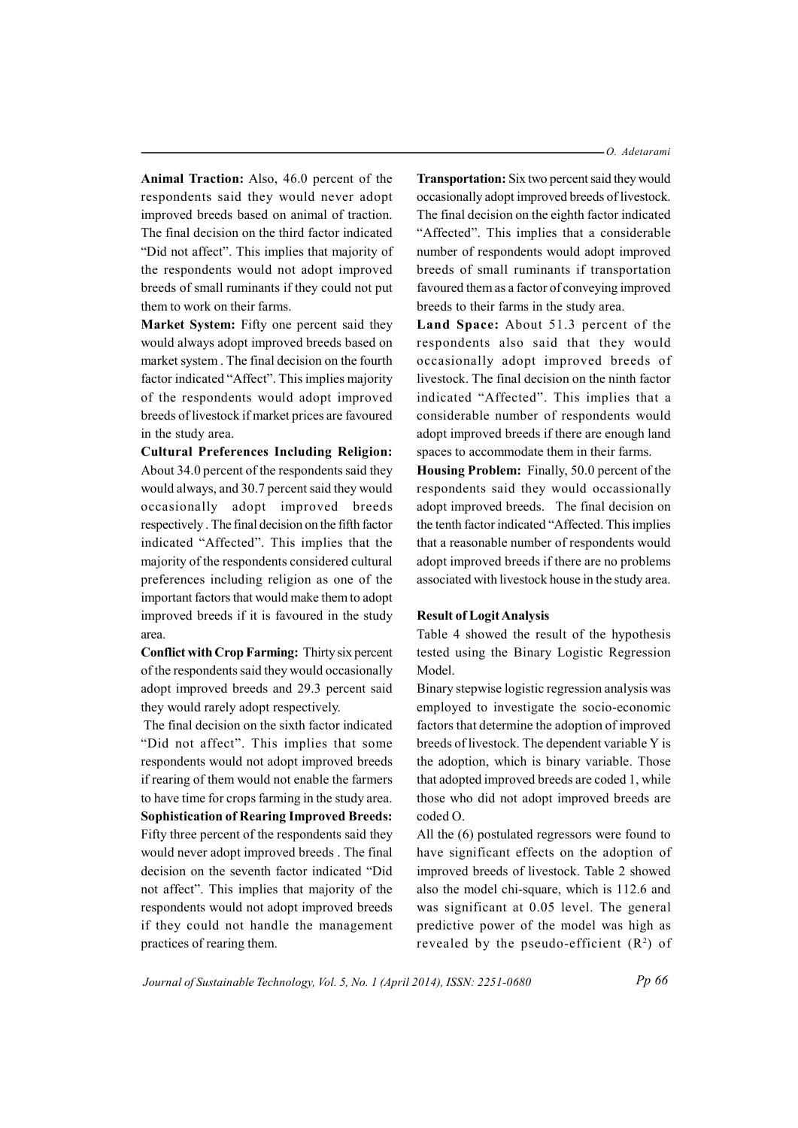Animal Traction: Also, 46.0 percent of the respondents said they would never adopt improved breeds based on animal of traction. The final decision on the third factor indicated "Did not affect". This implies that majority of the respondents would not adopt improved breeds of small ruminants if they could not put them to work on their farms.

Market System: Fifty one percent said they would always adopt improved breeds based on market system. The final decision on the fourth factor indicated "Affect". This implies majority of the respondents would adopt improved breeds of livestock if market prices are favoured in the study area.

**Cultural Preferences Including Religion:** About 34.0 percent of the respondents said they would always, and 30.7 percent said they would occasionally adopt improved breeds respectively. The final decision on the fifth factor indicated "Affected". This implies that the majority of the respondents considered cultural preferences including religion as one of the important factors that would make them to adopt improved breeds if it is favoured in the study area.

**Conflict with Crop Farming: Thirty six percent** of the respondents said they would occasionally adopt improved breeds and 29.3 percent said they would rarely adopt respectively.

The final decision on the sixth factor indicated "Did not affect". This implies that some respondents would not adopt improved breeds if rearing of them would not enable the farmers to have time for crops farming in the study area. **Sophistication of Rearing Improved Breeds:** Fifty three percent of the respondents said they would never adopt improved breeds. The final decision on the seventh factor indicated "Did not affect". This implies that majority of the respondents would not adopt improved breeds if they could not handle the management practices of rearing them.

**Transportation:** Six two percent said they would occasionally adopt improved breeds of livestock. The final decision on the eighth factor indicated "Affected". This implies that a considerable number of respondents would adopt improved breeds of small ruminants if transportation favoured them as a factor of conveying improved breeds to their farms in the study area.

Land Space: About 51.3 percent of the respondents also said that they would occasionally adopt improved breeds of livestock. The final decision on the ninth factor indicated "Affected". This implies that a considerable number of respondents would adopt improved breeds if there are enough land spaces to accommodate them in their farms.

Housing Problem: Finally, 50.0 percent of the respondents said they would occassionally adopt improved breeds. The final decision on the tenth factor indicated "Affected. This implies that a reasonable number of respondents would adopt improved breeds if there are no problems associated with livestock house in the study area.

#### **Result of Logit Analysis**

Table 4 showed the result of the hypothesis tested using the Binary Logistic Regression Model.

Binary stepwise logistic regression analysis was employed to investigate the socio-economic factors that determine the adoption of improved breeds of livestock. The dependent variable Y is the adoption, which is binary variable. Those that adopted improved breeds are coded 1, while those who did not adopt improved breeds are  $\text{coded } \Omega$ .

All the (6) postulated regressors were found to have significant effects on the adoption of improved breeds of livestock. Table 2 showed also the model chi-square, which is 112.6 and was significant at 0.05 level. The general predictive power of the model was high as revealed by the pseudo-efficient  $(R^2)$  of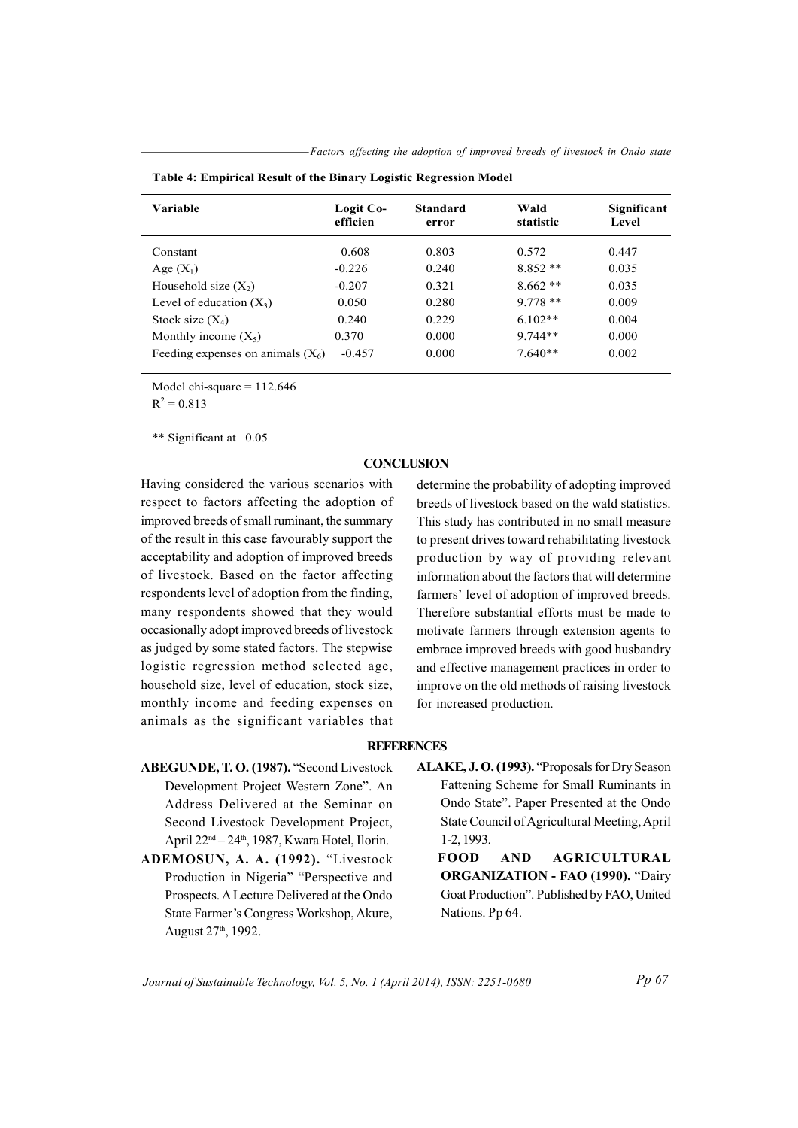-Factors affecting the adoption of improved breeds of livestock in Ondo state

| Variable                            | Logit Co-<br>efficien | <b>Standard</b><br>error | Wald<br>statistic | Significant<br>Level |
|-------------------------------------|-----------------------|--------------------------|-------------------|----------------------|
| Constant                            | 0.608                 | 0.803                    | 0.572             | 0.447                |
| Age $(X_1)$                         | $-0.226$              | 0.240                    | $8.852**$         | 0.035                |
| Household size $(X_2)$              | $-0.207$              | 0.321                    | $8.662**$         | 0.035                |
| Level of education $(X_3)$          | 0.050                 | 0.280                    | $9.778**$         | 0.009                |
| Stock size $(X_4)$                  | 0.240                 | 0.229                    | $6.102**$         | 0.004                |
| Monthly income $(X_5)$              | 0.370                 | 0.000                    | $9.744**$         | 0.000                |
| Feeding expenses on animals $(X_6)$ | $-0.457$              | 0.000                    | $7.640**$         | 0.002                |

|  | Table 4: Empirical Result of the Binary Logistic Regression Model |  |  |
|--|-------------------------------------------------------------------|--|--|
|  |                                                                   |  |  |

Model chi-square =  $112.646$ 

 $R^2 = 0.813$ 

\*\* Significant at 0.05

### **CONCLUSION**

Having considered the various scenarios with respect to factors affecting the adoption of improved breeds of small ruminant, the summary of the result in this case favourably support the acceptability and adoption of improved breeds of livestock. Based on the factor affecting respondents level of adoption from the finding, many respondents showed that they would occasionally adopt improved breeds of livestock as judged by some stated factors. The stepwise logistic regression method selected age, household size, level of education, stock size, monthly income and feeding expenses on animals as the significant variables that

determine the probability of adopting improved breeds of livestock based on the wald statistics. This study has contributed in no small measure to present drives toward rehabilitating livestock production by way of providing relevant information about the factors that will determine farmers' level of adoption of improved breeds. Therefore substantial efforts must be made to motivate farmers through extension agents to embrace improved breeds with good husbandry and effective management practices in order to improve on the old methods of raising livestock for increased production.

### **REFERENCES**

- ABEGUNDE, T.O. (1987). "Second Livestock Development Project Western Zone". An Address Delivered at the Seminar on Second Livestock Development Project, April 22<sup>nd</sup> – 24<sup>th</sup>, 1987, Kwara Hotel, Ilorin.
- ADEMOSUN, A. A. (1992). "Livestock Production in Nigeria" "Perspective and Prospects. A Lecture Delivered at the Ondo State Farmer's Congress Workshop, Akure, August 27<sup>th</sup>, 1992.
- ALAKE, J.O. (1993). "Proposals for Dry Season Fattening Scheme for Small Ruminants in Ondo State". Paper Presented at the Ondo State Council of Agricultural Meeting, April 1-2, 1993.
	- **AGRICULTURAL FOOD AND ORGANIZATION - FAO (1990). "Dairy** Goat Production". Published by FAO, United Nations. Pp 64.